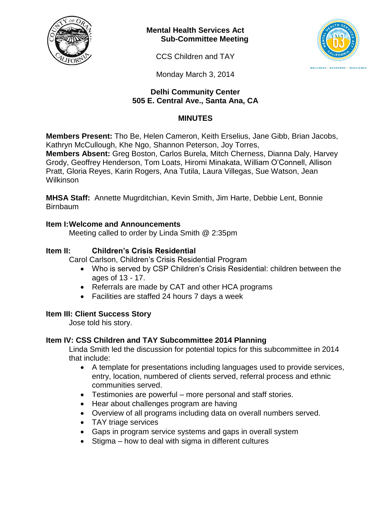

**Mental Health Services Act Sub-Committee Meeting**

CCS Children and TAY



Monday March 3, 2014

### **Delhi Community Center 505 E. Central Ave., Santa Ana, CA**

# **MINUTES**

**Members Present:** Tho Be, Helen Cameron, Keith Erselius, Jane Gibb, Brian Jacobs, Kathryn McCullough, Khe Ngo, Shannon Peterson, Joy Torres, **Members Absent:** Greg Boston, Carlos Burela, Mitch Cherness, Dianna Daly, Harvey Grody, Geoffrey Henderson, Tom Loats, Hiromi Minakata, William O'Connell, Allison

Pratt, Gloria Reyes, Karin Rogers, Ana Tutila, Laura Villegas, Sue Watson, Jean Wilkinson

**MHSA Staff:** Annette Mugrditchian, Kevin Smith, Jim Harte, Debbie Lent, Bonnie Birnbaum

### **Item I:Welcome and Announcements**

Meeting called to order by Linda Smith @ 2:35pm

### **Item II: Children's Crisis Residential**

Carol Carlson, Children's Crisis Residential Program

- Who is served by CSP Children's Crisis Residential: children between the ages of 13 - 17.
- Referrals are made by CAT and other HCA programs
- Facilities are staffed 24 hours 7 days a week

## **Item III: Client Success Story**

Jose told his story.

## **Item IV: CSS Children and TAY Subcommittee 2014 Planning**

Linda Smith led the discussion for potential topics for this subcommittee in 2014 that include:

- A template for presentations including languages used to provide services, entry, location, numbered of clients served, referral process and ethnic communities served.
- Testimonies are powerful more personal and staff stories.
- Hear about challenges program are having
- Overview of all programs including data on overall numbers served.
- TAY triage services
- Gaps in program service systems and gaps in overall system
- $\bullet$  Stigma how to deal with sigma in different cultures